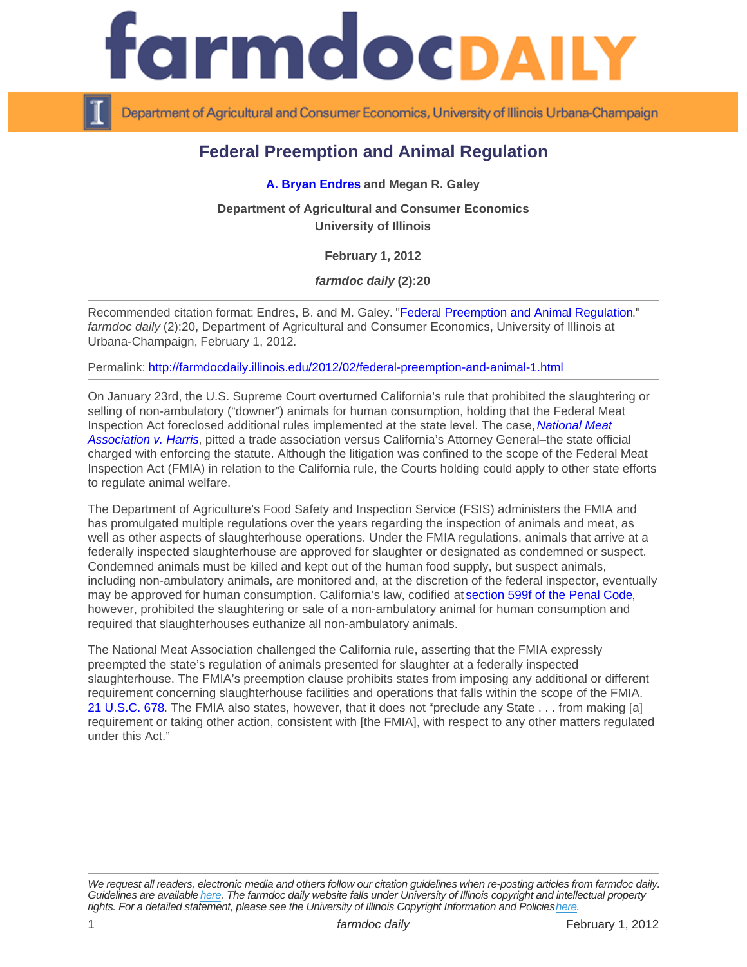## Federal Preemption and Animal Regulation

[A. Bryan Endres](http://farmdoc.illinois.edu/endres/) and Megan R. Galey

Department of Agricultural and Consumer Economics University of Illinois

February 1, 2012

farmdoc daily (2):20

Recommended citation format: Endres, B. and M. Galey. "[Federal Preemption and Animal Regulation](http://farmdocdaily.illinois.edu/2012/02/federal-preemption-and-animal-1.html)." farmdoc daily (2):20, Department of Agricultural and Consumer Economics, University of Illinois at Urbana-Champaign, February 1, 2012.

Permalink:<http://farmdocdaily.illinois.edu/2012/02/federal-preemption-and-animal-1.html>

On January 23rd, the U.S. Supreme Court overturned California's rule that prohibited the slaughtering or selling of non-ambulatory ("downer") animals for human consumption, holding that the Federal Meat Inspection Act foreclosed additional rules implemented at the state level. The case, [National Meat](http://www.supremecourt.gov/opinions/11pdf/10-224.pdf)  [Association v. Harris,](http://www.supremecourt.gov/opinions/11pdf/10-224.pdf) pitted a trade association versus California's Attorney General–the state official charged with enforcing the statute. Although the litigation was confined to the scope of the Federal Meat Inspection Act (FMIA) in relation to the California rule, the Courts holding could apply to other state efforts to regulate animal welfare.

The Department of Agriculture's Food Safety and Inspection Service (FSIS) administers the FMIA and has promulgated multiple regulations over the years regarding the inspection of animals and meat, as well as other aspects of slaughterhouse operations. Under the FMIA regulations, animals that arrive at a federally inspected slaughterhouse are approved for slaughter or designated as condemned or suspect. Condemned animals must be killed and kept out of the human food supply, but suspect animals, including non-ambulatory animals, are monitored and, at the discretion of the federal inspector, eventually may be approved for human consumption. California's law, codified at [section 599f of the Penal Code](http://www.leginfo.ca.gov/cgi-bin/displaycode?section=pen&group=00001-01000&file=594-625c), however, prohibited the slaughtering or sale of a non-ambulatory animal for human consumption and required that slaughterhouses euthanize all non-ambulatory animals.

The National Meat Association challenged the California rule, asserting that the FMIA expressly preempted the state's regulation of animals presented for slaughter at a federally inspected slaughterhouse. The FMIA's preemption clause prohibits states from imposing any additional or different requirement concerning slaughterhouse facilities and operations that falls within the scope of the FMIA. [21 U.S.C. 678.](http://www.law.cornell.edu/uscode/usc_sec_21_00000678----000-.html) The FMIA also states, however, that it does not "preclude any State . . . from making [a] requirement or taking other action, consistent with [the FMIA], with respect to any other matters regulated under this Act."

We request all readers, electronic media and others follow our citation guidelines when re-posting articles from farmdoc daily. Guidelines are available [here](http://farmdocdaily.illinois.edu/citationguide.html). The farmdoc daily website falls under University of Illinois copyright and intellectual property rights. For a detailed statement, please see the University of Illinois Copyright Information and Policies [here.](https://techservices.illinois.edu/office-cio)